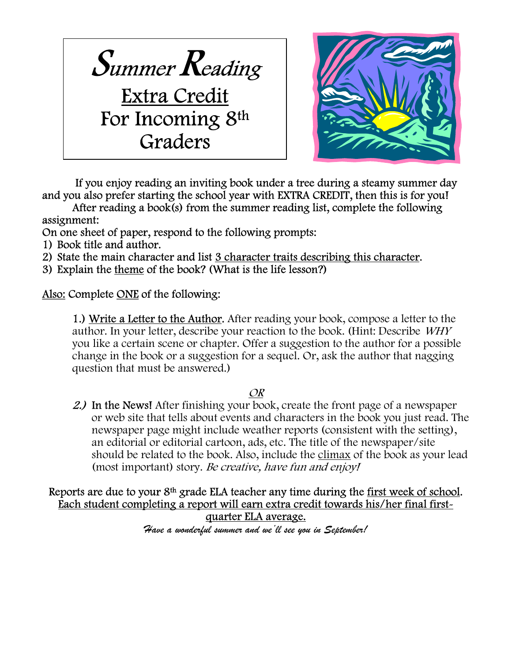



 If you enjoy reading an inviting book under a tree during a steamy summer day and you also prefer starting the school year with EXTRA CREDIT, then this is for you!

After reading a book(s) from the summer reading list, complete the following assignment:

On one sheet of paper, respond to the following prompts:

- 1) Book title and author.
- 2) State the main character and list 3 character traits describing this character.
- 3) Explain the theme of the book? (What is the life lesson?)

Also: Complete ONE of the following:

1.) Write a Letter to the Author. After reading your book, compose a letter to the author. In your letter, describe your reaction to the book. (Hint: Describe WHY you like a certain scene or chapter. Offer a suggestion to the author for a possible change in the book or a suggestion for a sequel. Or, ask the author that nagging question that must be answered.)

# OR

2.) In the News! After finishing your book, create the front page of a newspaper or web site that tells about events and characters in the book you just read. The newspaper page might include weather reports (consistent with the setting), an editorial or editorial cartoon, ads, etc. The title of the newspaper/site should be related to the book. Also, include the climax of the book as your lead (most important) story. Be creative, have fun and enjoy!

## Reports are due to your 8<sup>th</sup> grade ELA teacher any time during the first week of school. Each student completing a report will earn extra credit towards his/her final firstquarter ELA average.

Have a wonderful summer and we'll see you in September!